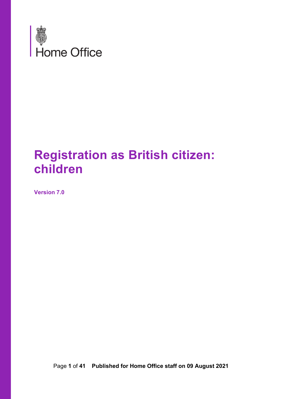

# **Registration as British citizen: children**

**Version 7.0**

Page **1** of **41 Published for Home Office staff on 09 August 2021**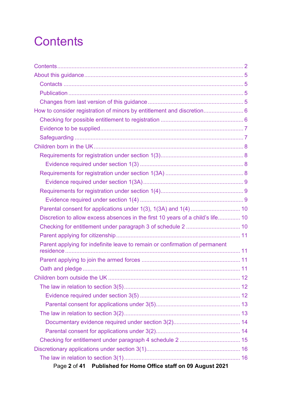# <span id="page-1-0"></span>**Contents**

| How to consider registration of minors by entitlement and discretion 6         |  |
|--------------------------------------------------------------------------------|--|
|                                                                                |  |
|                                                                                |  |
|                                                                                |  |
|                                                                                |  |
|                                                                                |  |
|                                                                                |  |
|                                                                                |  |
|                                                                                |  |
|                                                                                |  |
|                                                                                |  |
|                                                                                |  |
| Discretion to allow excess absences in the first 10 years of a child's life 10 |  |
|                                                                                |  |
|                                                                                |  |
| Parent applying for indefinite leave to remain or confirmation of permanent    |  |
|                                                                                |  |
|                                                                                |  |
|                                                                                |  |
|                                                                                |  |
|                                                                                |  |
|                                                                                |  |
|                                                                                |  |
|                                                                                |  |
|                                                                                |  |
|                                                                                |  |
|                                                                                |  |
|                                                                                |  |
| Published for Home Office staff on 09 August 2021<br>Page 2 of 41              |  |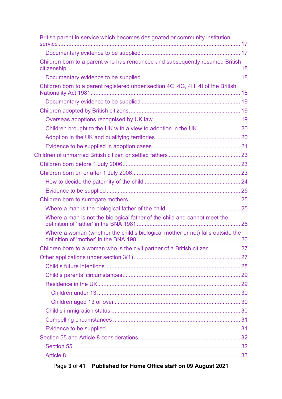| British parent in service which becomes designated or community institution      |  |
|----------------------------------------------------------------------------------|--|
|                                                                                  |  |
| Children born to a parent who has renounced and subsequently resumed British     |  |
|                                                                                  |  |
| Children born to a parent registered under section 4C, 4G, 4H, 4I of the British |  |
|                                                                                  |  |
|                                                                                  |  |
|                                                                                  |  |
|                                                                                  |  |
|                                                                                  |  |
|                                                                                  |  |
|                                                                                  |  |
|                                                                                  |  |
|                                                                                  |  |
|                                                                                  |  |
|                                                                                  |  |
|                                                                                  |  |
|                                                                                  |  |
| Where a man is not the biological father of the child and cannot meet the        |  |
| Where a woman (whether the child's biological mother or not) falls outside the   |  |
|                                                                                  |  |
|                                                                                  |  |
|                                                                                  |  |
|                                                                                  |  |
|                                                                                  |  |
|                                                                                  |  |
|                                                                                  |  |
|                                                                                  |  |
|                                                                                  |  |
|                                                                                  |  |
|                                                                                  |  |
|                                                                                  |  |
|                                                                                  |  |
|                                                                                  |  |

Page **3** of **41 Published for Home Office staff on 09 August 2021**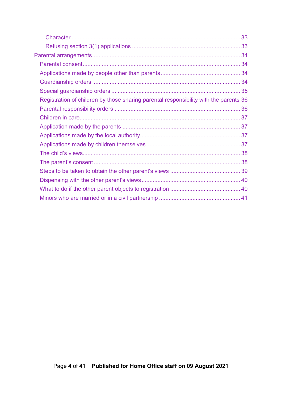| Registration of children by those sharing parental responsibility with the parents 36 |  |
|---------------------------------------------------------------------------------------|--|
|                                                                                       |  |
|                                                                                       |  |
|                                                                                       |  |
|                                                                                       |  |
|                                                                                       |  |
|                                                                                       |  |
|                                                                                       |  |
|                                                                                       |  |
|                                                                                       |  |
|                                                                                       |  |
|                                                                                       |  |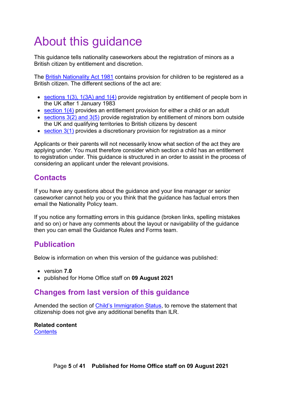# <span id="page-4-0"></span>About this guidance

This guidance tells nationality caseworkers about the registration of minors as a British citizen by entitlement and discretion.

The [British Nationality Act 1981](http://www.legislation.gov.uk/ukpga/1981/61) contains provision for children to be registered as a British citizen. The different sections of the act are:

- [sections 1\(3\), 1\(3A\) and 1\(4\)](http://www.legislation.gov.uk/ukpga/1981/61/section/1) provide registration by entitlement of people born in the UK after 1 January 1983
- [section 1\(4\)](http://www.legislation.gov.uk/ukpga/1981/61/section/1) provides an entitlement provision for either a child or an adult
- sections  $3(2)$  and  $3(5)$  provide registration by entitlement of minors born outside the UK and qualifying territories to British citizens by descent
- [section 3\(1\)](http://www.legislation.gov.uk/ukpga/1981/61/section/3) provides a discretionary provision for registration as a minor

Applicants or their parents will not necessarily know what section of the act they are applying under. You must therefore consider which section a child has an entitlement to registration under. This guidance is structured in an order to assist in the process of considering an applicant under the relevant provisions.

# <span id="page-4-1"></span>**Contacts**

If you have any questions about the guidance and your line manager or senior caseworker cannot help you or you think that the guidance has factual errors then email the Nationality Policy team.

If you notice any formatting errors in this guidance (broken links, spelling mistakes and so on) or have any comments about the layout or navigability of the guidance then you can email the Guidance Rules and Forms team.

# <span id="page-4-2"></span>**Publication**

Below is information on when this version of the guidance was published:

- version **7.0**
- published for Home Office staff on **09 August 2021**

# <span id="page-4-3"></span>**Changes from last version of this guidance**

Amended the section of [Child's Immigration Status,](#page-29-2) to remove the statement that citizenship does not give any additional benefits than ILR.

**Related content [Contents](#page-1-0)**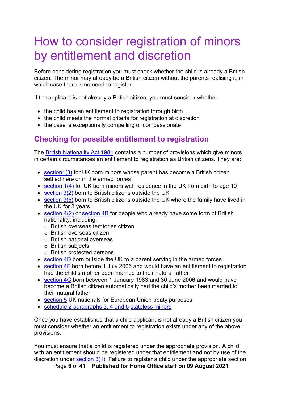# <span id="page-5-0"></span>How to consider registration of minors by entitlement and discretion

Before considering registration you must check whether the child is already a British citizen. The minor may already be a British citizen without the parents realising it, in which case there is no need to register.

If the applicant is not already a British citizen, you must consider whether:

- the child has an entitlement to registration through birth
- the child meets the normal criteria for registration at discretion
- the case is exceptionally compelling or compassionate

# <span id="page-5-1"></span>**Checking for possible entitlement to registration**

The [British Nationality Act 1981](http://www.legislation.gov.uk/ukpga/1981/61) contains a number of provisions which give minors in certain circumstances an entitlement to registration as British citizens. They are:

- [section1\(3\)](http://www.legislation.gov.uk/ukpga/1981/61/section/1) for UK born minors whose parent has become a British citizen settled here or in the armed forces
- [section 1\(4\)](http://www.legislation.gov.uk/ukpga/1981/61/section/1) for UK born minors with residence in the UK from birth to age 10
- [section 3\(2\)](http://www.legislation.gov.uk/ukpga/1981/61/section/3) born to British citizens outside the UK
- [section 3\(5\)](http://www.legislation.gov.uk/ukpga/1981/61/section/3) born to British citizens outside the UK where the family have lived in the UK for 3 years
- $\bullet$  section  $4(2)$  or [section 4B](http://www.legislation.gov.uk/ukpga/1981/61/section/4B) for people who already have some form of British nationality, including:
	- o British overseas territories citizen
	- o British overseas citizen
	- o British national overseas
	- o British subjects
	- o British protected persons
- [section 4D](http://www.legislation.gov.uk/ukpga/1981/61/section/4D) born outside the UK to a parent serving in the armed forces
- [section 4F](http://www.legislation.gov.uk/ukpga/1981/61/section/4F) born before 1 July 2006 and would have an entitlement to registration had the child's mother been married to their natural father
- [section 4G](http://www.legislation.gov.uk/ukpga/1981/61/section/4G) born between 1 January 1983 and 30 June 2006 and would have become a British citizen automatically had the child's mother been married to their natural father
- [section 5](http://www.legislation.gov.uk/ukpga/1981/61/section/5) UK nationals for European Union treaty purposes
- [schedule 2 paragraphs 3, 4 and 5](http://www.legislation.gov.uk/ukpga/1981/61/schedule/2) [stateless minors](https://horizon.fcos.gsi.gov.uk/file-wrapper/registration-british-citizen-stateless-persons)

Once you have established that a child applicant is not already a British citizen you must consider whether an entitlement to registration exists under any of the above provisions.

You must ensure that a child is registered under the appropriate provision. A child with an entitlement should be registered under that entitlement and not by use of the discretion under section  $3(1)$ . Failure to register a child under the appropriate section

Page **6** of **41 Published for Home Office staff on 09 August 2021**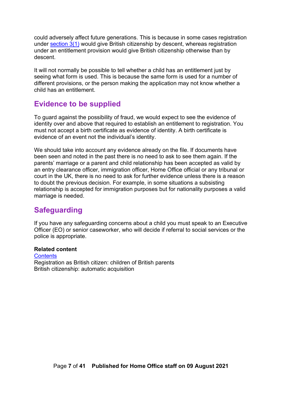could adversely affect future generations. This is because in some cases registration under [section 3\(1\)](http://www.legislation.gov.uk/ukpga/1981/61/section/3) would give British citizenship by descent, whereas registration under an entitlement provision would give British citizenship otherwise than by descent.

It will not normally be possible to tell whether a child has an entitlement just by seeing what form is used. This is because the same form is used for a number of different provisions, or the person making the application may not know whether a child has an entitlement.

### <span id="page-6-0"></span>**Evidence to be supplied**

To guard against the possibility of fraud, we would expect to see the evidence of identity over and above that required to establish an entitlement to registration. You must not accept a birth certificate as evidence of identity. A birth certificate is evidence of an event not the individual's identity.

We should take into account any evidence already on the file. If documents have been seen and noted in the past there is no need to ask to see them again. If the parents' marriage or a parent and child relationship has been accepted as valid by an entry clearance officer, immigration officer, Home Office official or any tribunal or court in the UK, there is no need to ask for further evidence unless there is a reason to doubt the previous decision. For example, in some situations a subsisting relationship is accepted for immigration purposes but for nationality purposes a valid marriage is needed.

# <span id="page-6-1"></span>**Safeguarding**

If you have any safeguarding concerns about a child you must speak to an Executive Officer (EO) or senior caseworker, who will decide if referral to social services or the police is appropriate.

#### **Related content**

#### **[Contents](#page-1-0)**

Registration as British citizen: children of British parents British citizenship: automatic acquisition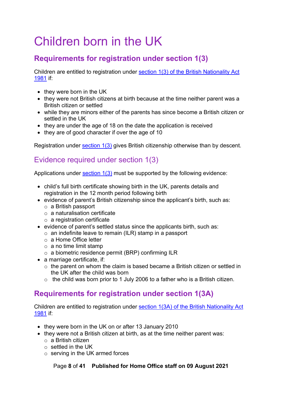# <span id="page-7-0"></span>Children born in the UK

# <span id="page-7-1"></span>**Requirements for registration under section 1(3)**

Children are entitled to registration under section 1(3) [of the British Nationality Act](http://www.legislation.gov.uk/ukpga/1981/61/section/1)  [1981](http://www.legislation.gov.uk/ukpga/1981/61/section/1) if:

- they were born in the UK
- they were not British citizens at birth because at the time neither parent was a British citizen or settled
- while they are minors either of the parents has since become a British citizen or settled in the UK
- they are under the age of 18 on the date the application is received
- they are of good character if over the age of 10

Registration under [section 1\(3\)](http://www.legislation.gov.uk/ukpga/1981/61/section/1) gives British citizenship otherwise than by descent.

## <span id="page-7-2"></span>Evidence required under section 1(3)

Applications under section  $1(3)$  must be supported by the following evidence:

- child's full birth certificate showing birth in the UK, parents details and registration in the 12 month period following birth
- evidence of parent's British citizenship since the applicant's birth, such as:
	- o a British passport
	- o a naturalisation certificate
	- o a registration certificate
- evidence of parent's settled status since the applicants birth, such as:
	- $\circ$  an indefinite leave to remain (ILR) stamp in a passport
	- o a Home Office letter
	- o a no time limit stamp
	- o a biometric residence permit (BRP) confirming ILR
- a marriage certificate, if:
	- $\circ$  the parent on whom the claim is based became a British citizen or settled in the UK after the child was born
	- $\circ$  the child was born prior to 1 July 2006 to a father who is a British citizen.

# <span id="page-7-3"></span>**Requirements for registration under section 1(3A)**

Children are entitled to registration under section 1(3A) [of the British Nationality Act](http://www.legislation.gov.uk/ukpga/1981/61/section/1)  [1981](http://www.legislation.gov.uk/ukpga/1981/61/section/1) if:

- they were born in the UK on or after 13 January 2010
- they were not a British citizen at birth, as at the time neither parent was:
	- $\circ$  a British citizen
	- o settled in the UK
	- o serving in the UK armed forces

Page **8** of **41 Published for Home Office staff on 09 August 2021**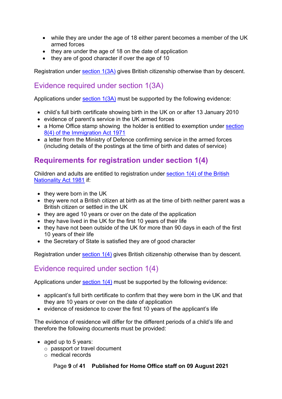- while they are under the age of 18 either parent becomes a member of the UK armed forces
- they are under the age of 18 on the date of application
- they are of good character if over the age of 10

Registration under [section 1\(3A\)](http://www.legislation.gov.uk/ukpga/1981/61/section/1) gives British citizenship otherwise than by descent.

# <span id="page-8-0"></span>Evidence required under section 1(3A)

Applications under section  $1(3A)$  must be supported by the following evidence:

- child's full birth certificate showing birth in the UK on or after 13 January 2010
- evidence of parent's service in the UK armed forces
- a Home Office stamp showing the holder is entitled to exemption under section [8\(4\) of the Immigration Act 1971](http://www.legislation.gov.uk/ukpga/1971/77/section/8)
- a letter from the Ministry of Defence confirming service in the armed forces (including details of the postings at the time of birth and dates of service)

# <span id="page-8-1"></span>**Requirements for registration under section 1(4)**

Children and adults are entitled to registration under [section 1\(4\) of the British](http://www.legislation.gov.uk/ukpga/1981/61/section/1)  [Nationality Act 1981](http://www.legislation.gov.uk/ukpga/1981/61/section/1) if:

- they were born in the UK
- they were not a British citizen at birth as at the time of birth neither parent was a British citizen or settled in the UK
- they are aged 10 years or over on the date of the application
- they have lived in the UK for the first 10 years of their life
- they have not been outside of the UK for more than 90 days in each of the first 10 years of their life
- the Secretary of State is satisfied they are of good character

Registration under [section 1\(4\)](http://www.legislation.gov.uk/ukpga/1981/61/section/1) gives British citizenship otherwise than by descent.

# <span id="page-8-2"></span>Evidence required under section 1(4)

Applications under section  $1(4)$  must be supported by the following evidence:

- applicant's full birth certificate to confirm that they were born in the UK and that they are 10 years or over on the date of application
- evidence of residence to cover the first 10 years of the applicant's life

The evidence of residence will differ for the different periods of a child's life and therefore the following documents must be provided:

- aged up to 5 years:
	- o passport or travel document
	- o medical records

Page **9** of **41 Published for Home Office staff on 09 August 2021**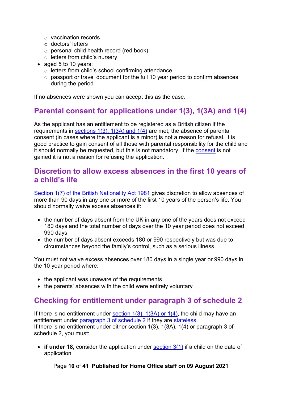- o vaccination records
- o doctors' letters
- o personal child health record (red book)
- $\circ$  letters from child's nursery
- aged 5 to 10 years:
	- o letters from child's school confirming attendance
	- o passport or travel document for the full 10 year period to confirm absences during the period

If no absences were shown you can accept this as the case.

#### <span id="page-9-0"></span>**Parental consent for applications under 1(3), 1(3A) and 1(4)**

As the applicant has an entitlement to be registered as a British citizen if the requirements in sections  $1(3)$ ,  $1(3A)$  and  $1(4)$  are met, the absence of parental consent (in cases where the applicant is a minor) is not a reason for refusal. It is good practice to gain consent of all those with parental responsibility for the child and it should normally be requested, but this is not mandatory. If the [consent](#page-33-0) is not gained it is not a reason for refusing the application.

#### <span id="page-9-1"></span>**Discretion to allow excess absences in the first 10 years of a child's life**

[Section 1\(7\) of the British Nationality Act 1981](http://www.legislation.gov.uk/ukpga/1981/61/section/1) gives discretion to allow absences of more than 90 days in any one or more of the first 10 years of the person's life. You should normally waive excess absences if:

- the number of days absent from the UK in any one of the years does not exceed 180 days and the total number of days over the 10 year period does not exceed 990 days
- the number of days absent exceeds 180 or 990 respectively but was due to circumstances beyond the family's control, such as a serious illness

You must not waive excess absences over 180 days in a single year or 990 days in the 10 year period where:

- the applicant was unaware of the requirements
- the parents' absences with the child were entirely voluntary

### <span id="page-9-2"></span>**Checking for entitlement under paragraph 3 of schedule 2**

If there is no entitlement under section  $1(3)$ ,  $1(3A)$  or  $1(4)$ , the child may have an entitlement under [paragraph 3 of schedule 2](http://www.legislation.gov.uk/ukpga/1981/61/schedule/2) if they are [stateless.](https://horizon.fcos.gsi.gov.uk/file-wrapper/registration-british-citizen-stateless-persons) If there is no entitlement under either section 1(3), 1(3A), 1(4) or paragraph 3 of schedule 2, you must:

• **if under 18,** consider the application under **section 3(1)** if a child on the date of application

Page **10** of **41 Published for Home Office staff on 09 August 2021**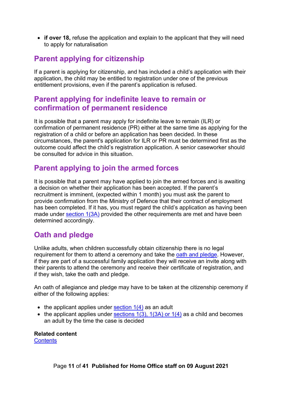• **if over 18,** refuse the application and explain to the applicant that they will need to apply for naturalisation

# <span id="page-10-0"></span>**Parent applying for citizenship**

If a parent is applying for citizenship, and has included a child's application with their application, the child may be entitled to registration under one of the previous entitlement provisions, even if the parent's application is refused.

### <span id="page-10-1"></span>**Parent applying for indefinite leave to remain or confirmation of permanent residence**

It is possible that a parent may apply for indefinite leave to remain (ILR) or confirmation of permanent residence (PR) either at the same time as applying for the registration of a child or before an application has been decided. In these circumstances, the parent's application for ILR or PR must be determined first as the outcome could affect the child's registration application. A senior caseworker should be consulted for advice in this situation.

# <span id="page-10-2"></span>**Parent applying to join the armed forces**

It is possible that a parent may have applied to join the armed forces and is awaiting a decision on whether their application has been accepted. If the parent's recruitment is imminent, (expected within 1 month) you must ask the parent to provide confirmation from the Ministry of Defence that their contract of employment has been completed. If it has, you must regard the child's application as having been made under [section 1\(3A\)](http://www.legislation.gov.uk/ukpga/1981/61/section/1) provided the other requirements are met and have been determined accordingly.

# <span id="page-10-3"></span>**Oath and pledge**

Unlike adults, when children successfully obtain citizenship there is no legal requirement for them to attend a ceremony and take the [oath and pledge.](https://www.gov.uk/government/publications/oath-of-allegiance-and-pledge-of-loyalty) However, if they are part of a successful family application they will receive an invite along with their parents to attend the ceremony and receive their certificate of registration, and if they wish, take the oath and pledge.

An oath of allegiance and pledge may have to be taken at the citizenship ceremony if either of the following applies:

- the applicant applies under  $section 1(4)$  as an adult
- the applicant applies under sections  $1(3)$ ,  $1(3A)$  or  $1(4)$  as a child and becomes an adult by the time the case is decided

**Related content**

**[Contents](#page-1-0)**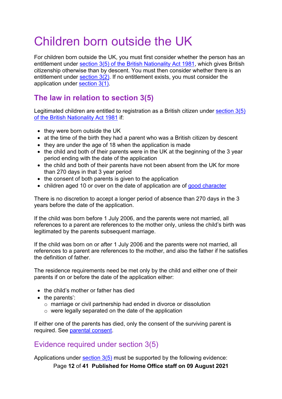# <span id="page-11-0"></span>Children born outside the UK

For children born outside the UK, you must first consider whether the person has an entitlement under [section 3\(5\) of the British Nationality Act 1981,](http://www.legislation.gov.uk/ukpga/1981/61/section/3) which gives British citizenship otherwise than by descent. You must then consider whether there is an entitlement under [section 3\(2\).](http://www.legislation.gov.uk/ukpga/1981/61/section/3) If no entitlement exists, you must consider the application under [section 3\(1\).](http://www.legislation.gov.uk/ukpga/1981/61/section/3)

# <span id="page-11-1"></span>**The law in relation to section 3(5)**

Legitimated children are entitled to registration as a British citizen under [section 3\(5\)](http://www.legislation.gov.uk/ukpga/1981/61/section/3)  [of the British Nationality Act 1981](http://www.legislation.gov.uk/ukpga/1981/61/section/3) if:

- they were born outside the UK
- at the time of the birth they had a parent who was a British citizen by descent
- they are under the age of 18 when the application is made
- the child and both of their parents were in the UK at the beginning of the 3 year period ending with the date of the application
- the child and both of their parents have not been absent from the UK for more than 270 days in that 3 year period
- the consent of both parents is given to the application
- children aged 10 or over on the date of application are of [good character](https://horizon.fcos.gsi.gov.uk/file-wrapper/nationality-policy-good-character)

There is no discretion to accept a longer period of absence than 270 days in the 3 years before the date of the application.

If the child was born before 1 July 2006, and the parents were not married, all references to a parent are references to the mother only, unless the child's birth was legitimated by the parents subsequent marriage.

If the child was born on or after 1 July 2006 and the parents were not married, all references to a parent are references to the mother, and also the father if he satisfies the definition of father.

The residence requirements need be met only by the child and either one of their parents if on or before the date of the application either:

- the child's mother or father has died
- the parents':
	- o marriage or civil partnership had ended in divorce or dissolution
	- o were legally separated on the date of the application

If either one of the parents has died, only the consent of the surviving parent is required. See [parental consent.](#page-33-1)

#### <span id="page-11-2"></span>Evidence required under section 3(5)

Applications under section  $3(5)$  must be supported by the following evidence:

Page **12** of **41 Published for Home Office staff on 09 August 2021**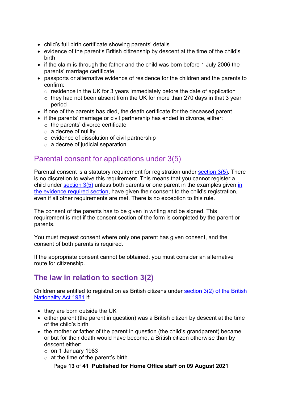- child's full birth certificate showing parents' details
- evidence of the parent's British citizenship by descent at the time of the child's birth
- if the claim is through the father and the child was born before 1 July 2006 the parents' marriage certificate
- passports or alternative evidence of residence for the children and the parents to confirm:
	- $\circ$  residence in the UK for 3 years immediately before the date of application
	- $\circ$  they had not been absent from the UK for more than 270 days in that 3 year period
- if one of the parents has died, the death certificate for the deceased parent
- if the parents' marriage or civil partnership has ended in divorce, either:
	- $\circ$  the parents' divorce certificate
	- $\circ$  a decree of nullity
	- o evidence of dissolution of civil partnership
	- $\circ$  a decree of judicial separation

#### <span id="page-12-0"></span>Parental consent for applications under 3(5)

Parental consent is a statutory requirement for registration under [section 3\(5\).](http://www.legislation.gov.uk/ukpga/1981/61/section/3) There is no discretion to waive this requirement. This means that you cannot register a child under [section 3\(5\)](http://www.legislation.gov.uk/ukpga/1981/61/section/3) unless both parents or one parent [in](#page-11-2) the examples given in [the evidence required section,](#page-11-2) have given their consent to the child's registration, even if all other requirements are met. There is no exception to this rule.

The consent of the parents has to be given in writing and be signed. This requirement is met if the consent section of the form is completed by the parent or parents.

You must request consent where only one parent has given consent, and the consent of both parents is required.

If the appropriate consent cannot be obtained, you must consider an alternative route for citizenship.

# <span id="page-12-1"></span>**[The law in relation to section 3\(2\)](#page-8-1)**

Children are entitled to registration as British citizens under [section 3\(2\) of the British](http://www.legislation.gov.uk/ukpga/1981/61/section/3)  [Nationality Act 1981](http://www.legislation.gov.uk/ukpga/1981/61/section/3) if:

- they are born outside the UK
- either parent (the parent in question) was a British citizen by descent at the time of the child's birth
- the mother or father of the parent in question (the child's grandparent) became or but for their death would have become, a British citizen otherwise than by descent either:
	- o on 1 January 1983
	- $\circ$  at the time of the parent's birth

Page **13** of **41 Published for Home Office staff on 09 August 2021**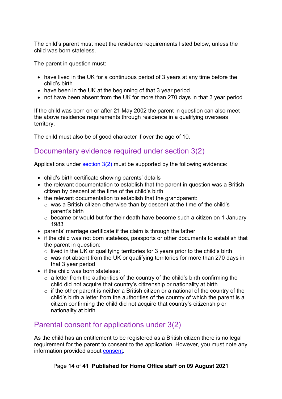The child's parent must meet the residence requirements listed below, unless the child was born stateless.

The parent in question must:

- have lived in the UK for a continuous period of 3 years at any time before the child's birth
- have been in the UK at the beginning of that 3 year period
- not have been absent from the UK for more than 270 days in that 3 year period

If the child was born on or after 21 May 2002 the parent in question can also meet the above residence requirements through residence in a qualifying overseas territory.

The child must also be of good character if over the age of 10.

### <span id="page-13-0"></span>Documentary evidence required under section 3(2)

Applications under section  $3(2)$  must be supported by the following evidence:

- child's birth certificate showing parents' details
- the relevant documentation to establish that the parent in question was a British citizen by descent at the time of the child's birth
- the relevant documentation to establish that the grandparent:
	- o was a British citizen otherwise than by descent at the time of the child's parent's birth
	- o became or would but for their death have become such a citizen on 1 January 1983
- parents' marriage certificate if the claim is through the father
- if the child was not born stateless, passports or other documents to establish that the parent in question:
	- $\circ$  lived in the UK or qualifying territories for 3 years prior to the child's birth
	- $\circ$  was not absent from the UK or qualifying territories for more than 270 days in that 3 year period
- if the child was born stateless:
	- $\circ$  a letter from the authorities of the country of the child's birth confirming the child did not acquire that country's citizenship or nationality at birth
	- $\circ$  if the other parent is neither a British citizen or a national of the country of the child's birth a letter from the authorities of the country of which the parent is a citizen confirming the child did not acquire that country's citizenship or nationality at birth

### <span id="page-13-1"></span>Parental consent for applications under 3(2)

As the child has an entitlement to be registered as a British citizen there is no legal requirement for the parent to consent to the application. However, you must note any information provided about [consent.](#page-33-0)

#### Page **14** of **41 Published for Home Office staff on 09 August 2021**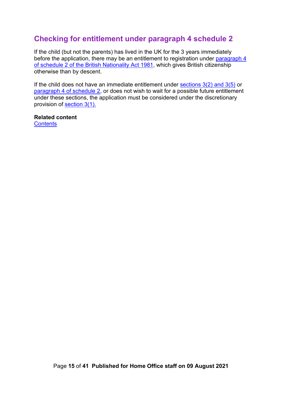# <span id="page-14-0"></span>**Checking for entitlement under paragraph 4 schedule 2**

If the child (but not the parents) has lived in the UK for the 3 years immediately before the application, there may be an entitlement to registration under paragraph 4 of schedule 2 [of the British Nationality Act](http://www.legislation.gov.uk/ukpga/1981/61/schedule/2) 1981, which gives British citizenship otherwise than by descent.

If the child does not have an immediate entitlement under sections  $3(2)$  and  $3(5)$  or paragraph 4 [of schedule 2,](http://www.legislation.gov.uk/ukpga/1981/61/schedule/2) or does not wish to wait for a possible future entitlement under these sections, the application must be considered under the discretionary provision of [section 3\(1\).](http://www.legislation.gov.uk/ukpga/1981/61/section/3)

**Related content [Contents](#page-1-0)**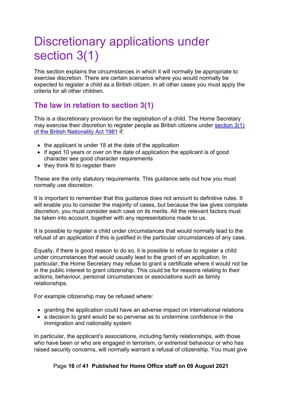# <span id="page-15-0"></span>Discretionary applications under section 3(1)

This section explains the circumstances in which it will normally be appropriate to exercise discretion. There are certain scenarios where you would normally be expected to register a child as a British citizen. In all other cases you must apply the criteria for all other children.

# <span id="page-15-1"></span>**The law in relation to section 3(1)**

This is a discretionary provision for the registration of a child. The Home Secretary may exercise their discretion to register people as British citizens under [section 3\(1\)](http://www.legislation.gov.uk/ukpga/1981/61/section/3)  [of the British Nationality Act 1981](http://www.legislation.gov.uk/ukpga/1981/61/section/3) if:

- the applicant is under 18 at the date of the application
- if aged 10 years or over on the date of application the applicant is of good character see good character requirements
- they think fit to register them

These are the only statutory requirements. This guidance sets out how you must normally use discretion.

It is important to remember that this guidance does not amount to definitive rules. It will enable you to consider the majority of cases, but because the law gives complete discretion, you must consider each case on its merits. All the relevant factors must be taken into account, together with any representations made to us.

It is possible to register a child under circumstances that would normally lead to the refusal of an application if this is justified in the particular circumstances of any case.

Equally, if there is good reason to do so, it is possible to refuse to register a child under circumstances that would usually lead to the grant of an application. In particular, the Home Secretary may refuse to grant a certificate where it would not be in the public interest to grant citizenship. This could be for reasons relating to their actions, behaviour, personal circumstances or associations such as family relationships.

For example citizenship may be refused where:

- granting the application could have an adverse impact on international relations
- a decision to grant would be so perverse as to undermine confidence in the immigration and nationality system

In particular, the applicant's associations, including family relationships, with those who have been or who are engaged in terrorism, or extremist behaviour or who has raised security concerns, will normally warrant a refusal of citizenship. You must give

#### Page **16** of **41 Published for Home Office staff on 09 August 2021**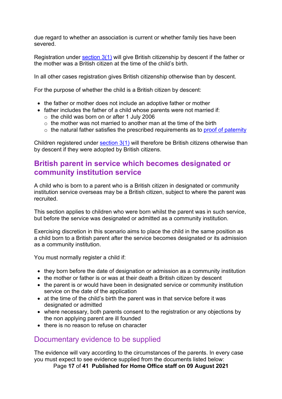due regard to whether an association is current or whether family ties have been severed.

Registration under [section 3\(1\)](http://www.legislation.gov.uk/ukpga/1981/61/section/3) will give British citizenship by descent if the father or the mother was a British citizen at the time of the child's birth.

In all other cases registration gives British citizenship otherwise than by descent.

For the purpose of whether the child is a British citizen by descent:

- the father or mother does not include an adoptive father or mother
- father includes the father of a child whose parents were not married if:
	- $\circ$  the child was born on or after 1 July 2006
	- $\circ$  the mother was not married to another man at the time of the birth
	- $\circ$  the natural father satisfies the prescribed requirements as to [proof of paternity](#page-23-0)

Children registered under [section 3\(1\)](http://www.legislation.gov.uk/ukpga/1981/61/section/3) will therefore be British citizens otherwise than by descent if they were adopted by British citizens.

### <span id="page-16-0"></span>**British parent in service which becomes designated or community institution service**

A child who is born to a parent who is a British citizen in designated or community institution service overseas may be a British citizen, subject to where the parent was recruited.

This section applies to children who were born whilst the parent was in such service, but before the service was designated or admitted as a community institution.

Exercising discretion in this scenario aims to place the child in the same position as a child born to a British parent after the service becomes designated or its admission as a community institution.

You must normally register a child if:

- they born before the date of designation or admission as a community institution
- the mother or father is or was at their death a British citizen by descent
- the parent is or would have been in designated service or community institution service on the date of the application
- at the time of the child's birth the parent was in that service before it was designated or admitted
- where necessary, both parents consent to the registration or any objections by the non applying parent are ill founded
- there is no reason to refuse on character

#### <span id="page-16-1"></span>Documentary evidence to be supplied

The evidence will vary according to the circumstances of the parents. In every case you must expect to see evidence supplied from the documents listed below:

Page **17** of **41 Published for Home Office staff on 09 August 2021**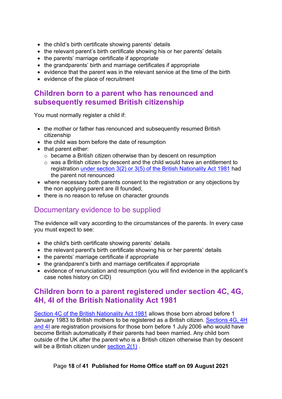- the child's birth certificate showing parents' details
- the relevant parent's birth certificate showing his or her parents' details
- the parents' marriage certificate if appropriate
- the grandparents' birth and marriage certificates if appropriate
- evidence that the parent was in the relevant service at the time of the birth
- evidence of the place of recruitment

#### <span id="page-17-0"></span>**Children born to a parent who has renounced and subsequently resumed British citizenship**

You must normally register a child if:

- the mother or father has renounced and subsequently resumed British citizenship
- the child was born before the date of resumption
- that parent either:
	- o became a British citizen otherwise than by descent on resumption
	- o was a British citizen by descent and the child would have an entitlement to registration [under section 3\(2\) or 3\(5\) of the British Nationality Act 1981](http://www.legislation.gov.uk/ukpga/1981/61/section/3) had the parent not renounced
- where necessary both parents consent to the registration or any objections by the non applying parent are ill founded,
- there is no reason to refuse on character grounds

# <span id="page-17-1"></span>Documentary evidence to be supplied

The evidence will vary according to the circumstances of the parents. In every case you must expect to see:

- the child's birth certificate showing parents' details
- the relevant parent's birth certificate showing his or her parents' details
- the parents' marriage certificate if appropriate
- the grandparent's birth and marriage certificates if appropriate
- evidence of renunciation and resumption (you will find evidence in the applicant's case notes history on CID)

#### <span id="page-17-2"></span>**Children born to a parent registered under section 4C, 4G, 4H, 4I of the British Nationality Act 1981**

[Section 4C of the British Nationality Act 1981](http://www.legislation.gov.uk/ukpga/1981/61/section/4C) allows those born abroad before 1 January 1983 to British mothers to be registered as a British citizen. [Sections 4G, 4H](http://www.legislation.gov.uk/ukpga/1981/61/contents)  [and 4I](http://www.legislation.gov.uk/ukpga/1981/61/contents) are registration provisions for those born before 1 July 2006 who would have become British automatically if their parents had been married. Any child born outside of the UK after the parent who is a British citizen otherwise than by descent will be a British citizen under [section](http://www.legislation.gov.uk/ukpga/1981/61/section/2) 2(1).

#### Page **18** of **41 Published for Home Office staff on 09 August 2021**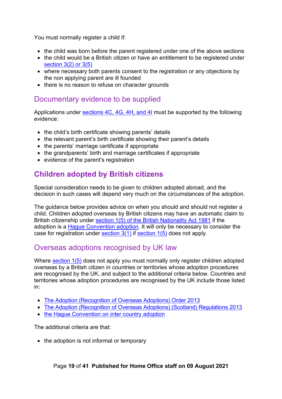You must normally register a child if:

- the child was born before the parent registered under one of the above sections
- the child would be a British citizen or have an entitlement to be registered under [section 3\(2\) or 3\(5\)](http://www.legislation.gov.uk/ukpga/1981/61/section/3)
- where necessary both parents consent to the registration or any objections by the non applying parent are ill founded
- there is no reason to refuse on character grounds

#### <span id="page-18-0"></span>Documentary evidence to be supplied

Applications under [sections 4C, 4G, 4H, and 4I](http://www.legislation.gov.uk/ukpga/1981/61/contents) must be supported by the following evidence:

- the child's birth certificate showing parents' details
- the relevant parent's birth certificate showing their parent's details
- the parents' marriage certificate if appropriate
- the grandparents' birth and marriage certificates if appropriate
- evidence of the parent's registration

# <span id="page-18-1"></span>**Children adopted by British citizens**

Special consideration needs to be given to children adopted abroad, and the decision in such cases will depend very much on the circumstances of the adoption.

The guidance below provides advice on when you should and should not register a child. Children adopted overseas by British citizens may have an automatic claim to British citizenship under [section 1\(5\) of the British Nationality Act 1981](http://www.legislation.gov.uk/ukpga/1981/61/section/1) if the adoption is a [Hague Convention adoption.](https://www.gov.uk/government/publications/guidance-on-how-adopted-children-can-become-british/intercountry-adoption-and-british-citizenship) It will only be necessary to consider the case for registration under section  $3(1)$  if section  $1(5)$  does not apply.

### <span id="page-18-2"></span>Overseas adoptions recognised by UK law

Where [section 1\(5\)](http://www.legislation.gov.uk/ukpga/1981/61/section/1) does not apply you must normally only register children adopted overseas by a British citizen in countries or territories whose adoption procedures are recognised by the UK, and subject to the additional criteria below. Countries and territories whose adoption procedures are recognised by the UK include those listed in:

- [The Adoption \(Recognition of Overseas Adoptions\) Order 2013](http://www.legislation.gov.uk/uksi/2013/1801/made)
- [The Adoption \(Recognition of Overseas Adoptions\) \(Scotland\) Regulations 2013](http://www.legislation.gov.uk/ssi/2013/310/contents/made)
- [the Hague Convention on inter country adoption](https://www.gov.uk/government/publications/guidance-on-how-adopted-children-can-become-british/intercountry-adoption-and-british-citizenship)

The additional criteria are that:

• the adoption is not informal or temporary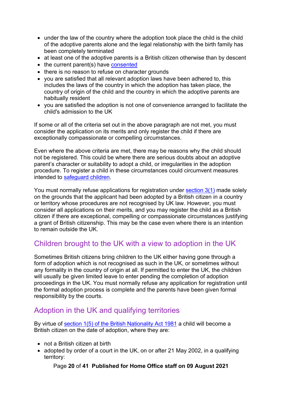- under the law of the country where the adoption took place the child is the child of the adoptive parents alone and the legal relationship with the birth family has been completely terminated
- at least one of the adoptive parents is a British citizen otherwise than by descent
- the current parent(s) have [consented](#page-33-1)
- there is no reason to refuse on character grounds
- you are satisfied that all relevant adoption laws have been adhered to, this includes the laws of the country in which the adoption has taken place, the country of origin of the child and the country in which the adoptive parents are habitually resident
- you are satisfied the adoption is not one of convenience arranged to facilitate the child's admission to the UK

If some or all of the criteria set out in the above paragraph are not met, you must consider the application on its merits and only register the child if there are exceptionally compassionate or compelling circumstances.

Even where the above criteria are met, there may be reasons why the child should not be registered. This could be where there are serious doubts about an adoptive parent's character or suitability to adopt a child, or irregularities in the adoption procedure. To register a child in these circumstances could circumvent measures intended to [safeguard children.](#page-6-1)

You must normally refuse applications for registration under [section 3\(1\)](http://www.legislation.gov.uk/ukpga/1981/61/section/3) made solely on the grounds that the applicant had been adopted by a British citizen in a country or territory whose procedures are not recognised by UK law. However, you must consider all applications on their merits, and you may register the child as a British citizen if there are exceptional, compelling or compassionate circumstances justifying a grant of British citizenship. This may be the case even where there is an intention to remain outside the UK.

### <span id="page-19-0"></span>Children brought to the UK with a view to adoption in the UK

Sometimes British citizens bring children to the UK either having gone through a form of adoption which is not recognised as such in the UK, or sometimes without any formality in the country of origin at all. If permitted to enter the UK, the children will usually be given limited leave to enter pending the completion of adoption proceedings in the UK. You must normally refuse any application for registration until the formal adoption process is complete and the parents have been given formal responsibility by the courts.

# <span id="page-19-1"></span>Adoption in the UK and qualifying territories

By virtue of [section 1\(5\) of the British Nationality Act 1981](http://www.legislation.gov.uk/ukpga/1981/61/section/1) a child will become a British citizen on the date of adoption, where they are:

- not a British citizen at birth
- adopted by order of a court in the UK, on or after 21 May 2002, in a qualifying territory:

Page **20** of **41 Published for Home Office staff on 09 August 2021**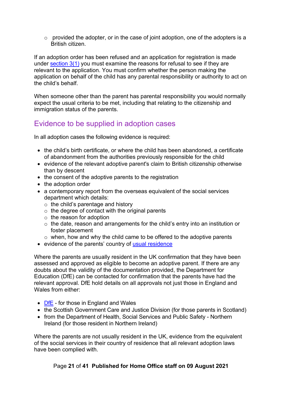$\circ$  provided the adopter, or in the case of joint adoption, one of the adopters is a British citizen.

If an adoption order has been refused and an application for registration is made under section  $3(1)$  you must examine the reasons for refusal to see if they are relevant to the application. You must confirm whether the person making the application on behalf of the child has any parental responsibility or authority to act on the child's behalf.

When someone other than the parent has parental responsibility you would normally expect the usual criteria to be met, including that relating to the citizenship and immigration status of the parents.

### <span id="page-20-0"></span>Evidence to be supplied in adoption cases

In all adoption cases the following evidence is required:

- the child's birth certificate, or where the child has been abandoned, a certificate of abandonment from the authorities previously responsible for the child
- evidence of the relevant adoptive parent's claim to British citizenship otherwise than by descent
- the consent of the adoptive parents to the registration
- the adoption order
- a contemporary report from the overseas equivalent of the social services department which details:
	- $\circ$  the child's parentage and history
	- $\circ$  the degree of contact with the original parents
	- o the reason for adoption
	- o the date, reason and arrangements for the child's entry into an institution or foster placement
	- $\circ$  when, how and why the child came to be offered to the adoptive parents
- evidence of the parents' country of [usual residence](https://www.gov.uk/child-adoption/adopting-a-child-from-overseas)

Where the parents are usually resident in the UK confirmation that they have been assessed and approved as eligible to become an adoptive parent. If there are any doubts about the validity of the documentation provided, the Department for Education (DfE) can be contacted for confirmation that the parents have had the relevant approval. DfE hold details on all approvals not just those in England and Wales from either:

- [DfE](https://www.gov.uk/government/organisations/department-for-education) for those in England and Wales
- the Scottish Government Care and Justice Division (for those parents in Scotland)
- from the Department of Health, Social Services and Public Safety Northern Ireland (for those resident in Northern Ireland)

Where the parents are not usually resident in the UK, evidence from the equivalent of the social services in their country of residence that all relevant adoption laws have been complied with.

#### Page **21** of **41 Published for Home Office staff on 09 August 2021**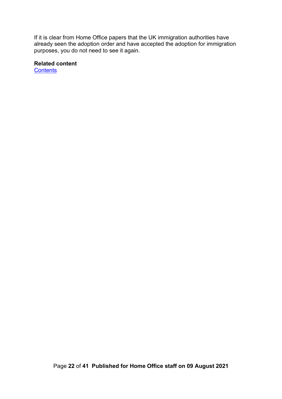If it is clear from Home Office papers that the UK immigration authorities have already seen the adoption order and have accepted the adoption for immigration purposes, you do not need to see it again.

#### **Related content**

**[Contents](#page-1-0)**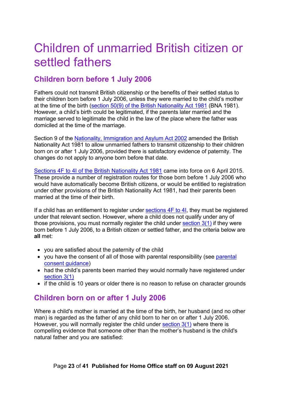# <span id="page-22-0"></span>Children of unmarried British citizen or settled fathers

# <span id="page-22-1"></span>**Children born before 1 July 2006**

Fathers could not transmit British citizenship or the benefits of their settled status to their children born before 1 July 2006, unless they were married to the child's mother at the time of the birth [\(section 50\(9\) of the British Nationality Act 1981](http://www.legislation.gov.uk/ukpga/1981/61/section/50) (BNA 1981). However, a child's birth could be legitimated, if the parents later married and the marriage served to legitimate the child in the law of the place where the father was domiciled at the time of the marriage.

Section 9 of the [Nationality, Immigration and Asylum Act 2002](http://www.legislation.gov.uk/ukpga/2002/41/section/9) amended the British Nationality Act 1981 to allow unmarried fathers to transmit citizenship to their children born on or after 1 July 2006, provided there is satisfactory evidence of paternity. The changes do [not apply to anyone born before that date.](http://www.legislation.gov.uk/ukpga/1981/61/contents)

[Sections 4F to 4I of the British Nationality Act 1981](http://www.legislation.gov.uk/ukpga/1981/61/contents) came into force on 6 April 2015. These provide a number of registration routes for those born before 1 July 2006 who would have automatically become British citizens, or would be entitled to registration under other provisions of the British Nationality Act 1981, had their parents been married at the time of their birth.

If a child has an entitlement to register under [sections 4F to 4I,](http://www.legislation.gov.uk/ukpga/1981/61/contents) they must be registered under that relevant section. However, where a child does not qualify under any of those provisions, you must normally register the child under [section 3\(1\)](http://www.legislation.gov.uk/ukpga/1981/61/section/3) if they were born before 1 July 2006, to a British citizen or settled father, and the criteria below are **all** met:

- you are satisfied about the paternity of the child
- you have the consent of all of those with [parental](#page-37-1) responsibility (see parental [consent guidance\)](#page-37-1)
- had the child's parents been married they would normally have registered under [section 3\(1\)](http://www.legislation.gov.uk/ukpga/1981/61/section/3)
- if the child is 10 years or older there is no reason to refuse on character grounds

# <span id="page-22-2"></span>**Children born on or after 1 July 2006**

Where a child's mother is married at the time of the birth, her husband (and no other man) is regarded as the father of any child born to her on or after 1 July 2006. However, you will normally register the child under [section 3\(1\)](http://www.legislation.gov.uk/ukpga/1981/61/section/3) where there is compelling evidence that someone other than the mother's husband is the child's natural father and you are satisfied: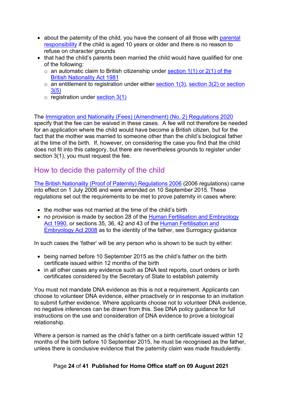- about the paternity of the child, you have the consent of all those with parental [responsibility](#page-35-0) if the child is aged 10 years or older and there is no reason to refuse on character grounds
- that had the child's parents been married the child would have qualified for one of the following:
	- $\circ$  an automatic claim to British citizenship under section 1(1) or 2(1) of the [British Nationality Act 1981](http://www.legislation.gov.uk/ukpga/1981/61/contents)
	- $\circ$  an entitlement to registration under either [section 1\(3\),](http://www.legislation.gov.uk/ukpga/1981/61/section/1) section 3(2) or section [3\(5\)](http://www.legislation.gov.uk/ukpga/1981/61/section/3)
	- $\circ$  registration under [section 3\(1\)](http://www.legislation.gov.uk/ukpga/1981/61/section/3)

The [Immigration and Nationality \(Fees\) \(Amendment\) \(No. 2\) Regulations 2020](https://www.legislation.gov.uk/uksi/2020/294/regulation/9/made) specify that the fee can be waived in these cases. A fee will not therefore be needed for an application where the child would have become a British citizen, but for the fact that the mother was married to someone other than the child's biological father at the time of the birth. If, however, on considering the case you find that the child does not fit into this category, but there are nevertheless grounds to register under section 3(1), you must request the fee.

## <span id="page-23-0"></span>How to decide the paternity of the child

[The British Nationality \(Proof of Paternity\) Regulations 2006](http://www.legislation.gov.uk/uksi/2006/1496/contents/made) (2006 regulations) came into effect on 1 July 2006 and were amended on 10 September 2015. These regulations set out the requirements to be met to prove paternity in cases where:

- the mother was not married at the time of the child's birth
- no provision is made by section 28 of the Human Fertilisation and Embryology [Act 1990,](http://www.legislation.gov.uk/ukpga/1990/37/contents) or sections 35, 36, 42 and 43 of the [Human Fertilisation and](http://www.legislation.gov.uk/ukpga/2008/22/contents)  [Embryology Act 2008](http://www.legislation.gov.uk/ukpga/2008/22/contents) as to the identity of the father, see Surrogacy guidance

In such cases the 'father' will be any person who is shown to be such by either:

- being named before 10 September 2015 as the child's father on the birth certificate issued within 12 months of the birth
- in all other cases any evidence such as DNA test reports, court orders or birth certificates considered by the Secretary of State to establish paternity

You must not mandate DNA evidence as this is not a requirement. Applicants can choose to volunteer DNA evidence, either proactively or in response to an invitation to submit further evidence. Where applicants choose not to volunteer DNA evidence, no negative inferences can be drawn from this. See DNA policy guidance for full instructions on the use and consideration of DNA evidence to prove a biological relationship.

Where a person is named as the child's father on a birth certificate issued within 12 months of the birth before 10 September 2015, he must be recognised as the father, unless there is conclusive evidence that the paternity claim was made fraudulently.

#### Page **24** of **41 Published for Home Office staff on 09 August 2021**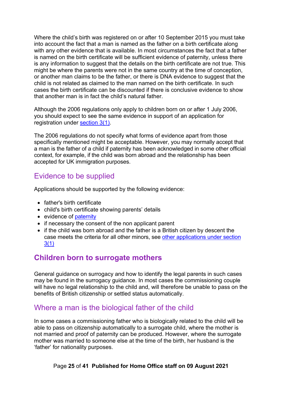Where the child's birth was registered on or after 10 September 2015 you must take into account the fact that a man is named as the father on a birth certificate along with any other evidence that is available. In most circumstances the fact that a father is named on the birth certificate will be sufficient evidence of paternity, unless there is any information to suggest that the details on the birth certificate are not true. This might be where the parents were not in the same country at the time of conception, or another man claims to be the father, or there is DNA evidence to suggest that the child is not related as claimed to the man named on the birth certificate. In such cases the birth certificate can be discounted if there is conclusive evidence to show that another man is in fact the child's natural father.

Although the 2006 regulations only apply to children born on or after 1 July 2006, you should expect to see the same evidence in support of an application for registration under [section 3\(1\).](http://www.legislation.gov.uk/ukpga/1981/61/section/3)

The 2006 regulations do not specify what forms of evidence apart from those specifically mentioned might be acceptable. However, you may normally accept that a man is the father of a child if paternity has been acknowledged in some other official context, for example, if the child was born abroad and the relationship has been accepted for UK immigration purposes.

### <span id="page-24-0"></span>Evidence to be supplied

Applications should be supported by the following evidence:

- father's birth certificate
- child's birth certificate showing parents' details
- evidence of [paternity](#page-23-0)
- if necessary the consent of the non applicant parent
- if the child was born abroad and the father is a British citizen by descent the case meets the criteria for all other minors, see [other applications under section](#page-26-1)  [3\(1\)](#page-26-1)

### <span id="page-24-1"></span>**Children born to surrogate mothers**

General guidance on surrogacy and how to identify the legal parents in such cases may be found in the surrogacy guidance. In most cases the commissioning couple will have no legal relationship to the child and, will therefore be unable to pass on the benefits of British citizenship or settled status automatically.

### <span id="page-24-2"></span>Where a man is the biological father of the child

In some cases a commissioning father who is biologically related to the child will be able to pass on citizenship automatically to a surrogate child, where the mother is not married and proof of paternity can be produced. However, where the surrogate mother was married to someone else at the time of the birth, her husband is the 'father' for nationality purposes.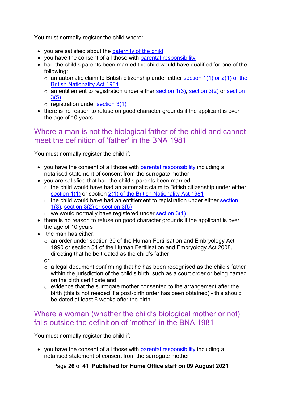You must normally register the child where:

- you are satisfied about the [paternity of the child](#page-23-0)
- you have the consent of all those with [parental responsibility](#page-33-0)
- had the child's parents been married the child would have qualified for one of the following:
	- $\circ$  an automatic claim to British citizenship under either section 1(1) or 2(1) of the [British Nationality Act 1981](http://www.legislation.gov.uk/ukpga/1981/61/contents)
	- $\circ$  an entitlement to registration under either [section 1\(3\),](http://www.legislation.gov.uk/ukpga/1981/61/section/1) [section 3\(2\)](http://www.legislation.gov.uk/ukpga/1981/61/section/3) or section [3\(5\)](http://www.legislation.gov.uk/ukpga/1981/61/section/3)
	- $\circ$  registration under [section 3\(1\)](http://www.legislation.gov.uk/ukpga/1981/61/section/3)
- there is no reason to refuse on good character grounds if the applicant is over the age of 10 years

### <span id="page-25-0"></span>Where a man is not the biological father of the child and cannot meet the definition of 'father' in the BNA 1981

You must normally register the child if:

- you have the consent of all those with [parental responsibility](#page-33-0) including a notarised statement of consent from the surrogate mother
- you are satisfied that had the child's parents been married:
	- $\circ$  the child would have had an automatic claim to British citizenship under either [section 1\(1\)](http://www.legislation.gov.uk/ukpga/1981/61/section/1) or section [2\(1\) of the British Nationality Act 1981](http://www.legislation.gov.uk/ukpga/1981/61/section/2)
		- o the child would have had an entitlement to registration under either [section](http://www.legislation.gov.uk/ukpga/1981/61/section/1)   $1(3)$ , section  $3(2)$  or section  $3(5)$
	- $\circ$  we would normally have registered under [section 3\(1\)](http://www.legislation.gov.uk/ukpga/1981/61/section/3)
- there is no reason to refuse on good character grounds if the applicant is over the age of 10 years
- the man has either:
	- o an order under section 30 of the Human Fertilisation and Embryology Act 1990 or section 54 of the Human Fertilisation and Embryology Act 2008, directing that he be treated as the child's father

or:

- $\circ$  a legal document confirming that he has been recognised as the child's father within the jurisdiction of the child's birth, such as a court order or being named on the birth certificate and
- $\circ$  evidence that the surrogate mother consented to the arrangement after the birth (this is not needed if a post-birth order has been obtained) - this should be dated at least 6 weeks after the birth

#### <span id="page-25-1"></span>Where a woman (whether the child's biological mother or not) falls outside the definition of 'mother' in the BNA 1981

You must normally register the child if:

• you have the consent of all those with [parental responsibility](#page-33-0) including a notarised statement of consent from the surrogate mother

Page **26** of **41 Published for Home Office staff on 09 August 2021**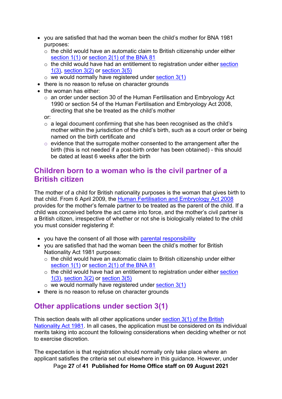- you are satisfied that had the woman been the child's mother for BNA 1981 purposes:
	- $\circ$  the child would have an automatic claim to British citizenship under either [section 1\(1\)](http://www.legislation.gov.uk/ukpga/1981/61/section/1) or [section 2\(1\) of the BNA 81](http://www.legislation.gov.uk/ukpga/1981/61/section/2)
	- $\circ$  the child would have had an entitlement to registration under either section [1\(3\),](http://www.legislation.gov.uk/ukpga/1981/61/section/1) [section 3\(2\)](http://www.legislation.gov.uk/ukpga/1981/61/section/3) or [section 3\(5\)](http://www.legislation.gov.uk/ukpga/1981/61/section/3)
	- $\circ$  we would normally have registered under [section 3\(1\)](http://www.legislation.gov.uk/ukpga/1981/61/section/3)
- there is no reason to refuse on character grounds
- the woman has either:
	- o an order under section 30 of the Human Fertilisation and Embryology Act 1990 or section 54 of the Human Fertilisation and Embryology Act 2008, directing that she be treated as the child's mother

or:

- $\circ$  a legal document confirming that she has been recognised as the child's mother within the jurisdiction of the child's birth, such as a court order or being named on the birth certificate and
- $\circ$  evidence that the surrogate mother consented to the arrangement after the birth (this is not needed if a post-birth order has been obtained) - this should be dated at least 6 weeks after the birth

## <span id="page-26-0"></span>**Children born to a woman who is the civil partner of a British citizen**

The mother of a child for British nationality purposes is the woman that gives birth to that child. From 6 April 2009, the [Human Fertilisation and Embryology Act 2008](http://www.legislation.gov.uk/ukpga/2008/22/contents) provides for the mother's female partner to be treated as the parent of the child. If a child was conceived before the act came into force, and the mother's civil partner is a British citizen, irrespective of whether or not she is biologically related to the child you must consider registering if:

- you have the consent of all those with [parental responsibility](#page-33-0)
- you are satisfied that had the woman been the child's mother for British Nationality Act 1981 purposes:
	- o the child would have an automatic claim to British citizenship under either [section 1\(1\)](http://www.legislation.gov.uk/ukpga/1981/61/section/1) or [section 2\(1\) of the BNA 81](http://www.legislation.gov.uk/ukpga/1981/61/section/2)
	- $\circ$  the child would have had an entitlement to registration under either section [1\(3\),](http://www.legislation.gov.uk/ukpga/1981/61/section/1) [section 3\(2\)](http://www.legislation.gov.uk/ukpga/1981/61/section/3) or [section 3\(5\)](http://www.legislation.gov.uk/ukpga/1981/61/section/3)
	- $\circ$  we would normally have registered under [section 3\(1\)](http://www.legislation.gov.uk/ukpga/1981/61/section/3)
- there is no reason to refuse on character grounds

### <span id="page-26-1"></span>**Other applications under section 3(1)**

This section deals with all other applications under [section 3\(1\) of the British](http://www.legislation.gov.uk/ukpga/1981/61/section/3)  [Nationality Act 1981.](http://www.legislation.gov.uk/ukpga/1981/61/section/3) In all cases, the application must be considered on its individual merits taking into account the following considerations when deciding whether or not to exercise discretion.

The expectation is that registration should normally only take place where an applicant satisfies the criteria set out elsewhere in this guidance. However, under

Page **27** of **41 Published for Home Office staff on 09 August 2021**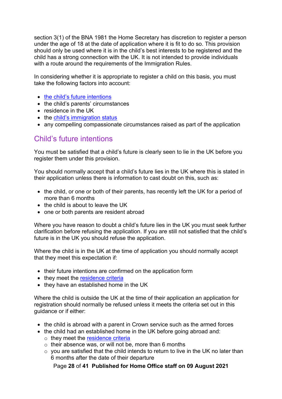section 3(1) of the BNA 1981 the Home Secretary has discretion to register a person under the age of 18 at the date of application where it is fit to do so. This provision should only be used where it is in the child's best interests to be registered and the child has a strong connection with the UK. It is not intended to provide individuals with a route around the requirements of the Immigration Rules.

In considering whether it is appropriate to register a child on this basis, you must take the following factors into account:

- [the child's future intentions](#page-27-0)
- the child's parents' circumstances
- residence in the UK
- the [child's immigration status](#page-29-3)
- any compelling compassionate circumstances raised as part of the application

### <span id="page-27-0"></span>Child's future intentions

You must be satisfied that a child's future is clearly seen to lie in the UK before you register them under this provision.

You should normally accept that a child's future lies in the UK where this is stated in their application unless there is information to cast doubt on this, such as:

- the child, or one or both of their parents, has recently left the UK for a period of more than 6 months
- the child is about to leave the UK
- one or both parents are resident abroad

Where you have reason to doubt a child's future lies in the UK you must seek further clarification before refusing the application. If you are still not satisfied that the child's future is in the UK you should refuse the application.

Where the child is in the UK at the time of application you should normally accept that they meet this expectation if:

- their future intentions are confirmed on the application form
- they meet the [residence criteria](#page-28-1)
- they have an established home in the UK

Where the child is outside the UK at the time of their application an application for registration should normally be refused unless it meets the criteria set out in this guidance or if either:

- the child is abroad with a parent in Crown service such as the armed forces
- the child had an established home in the UK before going abroad and: o they meet the [residence criteria](#page-28-1)
	- o their absence was, or will not be, more than 6 months
	- $\circ$  you are satisfied that the child intends to return to live in the UK no later than 6 months after the date of their departure

Page **28** of **41 Published for Home Office staff on 09 August 2021**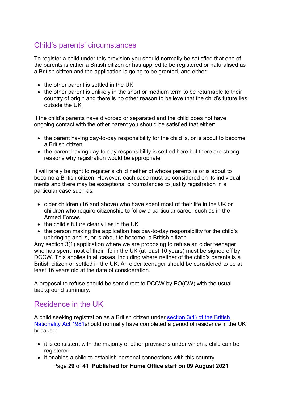# <span id="page-28-0"></span>Child's parents' circumstances

To register a child under this provision you should normally be satisfied that one of the parents is either a British citizen or has applied to be registered or naturalised as a British citizen and the application is going to be granted, and either:

- the other parent is settled in the UK
- the other parent is unlikely in the short or medium term to be returnable to their country of origin and there is no other reason to believe that the child's future lies outside the UK

If the child's parents have divorced or separated and the child does not have ongoing contact with the other parent you should be satisfied that either:

- the parent having day-to-day responsibility for the child is, or is about to become a British citizen
- the parent having day-to-day responsibility is settled here but there are strong reasons why registration would be appropriate

It will rarely be right to register a child neither of whose parents is or is about to become a British citizen. However, each case must be considered on its individual merits and there may be exceptional circumstances to justify registration in a particular case such as:

- older children (16 and above) who have spent most of their life in the UK or children who require citizenship to follow a particular career such as in the Armed Forces
- the child's future clearly lies in the UK
- the person making the application has day-to-day responsibility for the child's upbringing and is, or is about to become, a British citizen

Any section 3(1) application where we are proposing to refuse an older teenager who has spent most of their life in the UK (at least 10 years) must be signed off by DCCW. This applies in all cases, including where neither of the child's parents is a British citizen or settled in the UK. An older teenager should be considered to be at least 16 years old at the date of consideration.

A proposal to refuse should be sent direct to DCCW by EO(CW) with the usual background summary.

# <span id="page-28-1"></span>Residence in the UK

A child seeking registration as a British citizen under [section 3\(1\) of the British](http://www.legislation.gov.uk/ukpga/1981/61/section/3)  [Nationality Act 1981s](http://www.legislation.gov.uk/ukpga/1981/61/section/3)hould normally have completed a period of residence in the UK because:

- it is consistent with the majority of other provisions under which a child can be registered
- it enables a child to establish personal connections with this country

Page **29** of **41 Published for Home Office staff on 09 August 2021**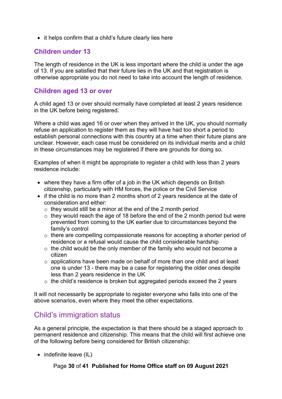• it helps confirm that a child's future clearly lies here

#### <span id="page-29-0"></span>**Children under 13**

The length of residence in the UK is less important where the child is under the age of 13. If you are satisfied that their future lies in the UK and that registration is otherwise appropriate you do not need to take into account the length of residence.

#### <span id="page-29-1"></span>**Children aged 13 or over**

A child aged 13 or over should normally have completed at least 2 years residence in the UK before being registered.

Where a child was aged 16 or over when they arrived in the UK, you should normally refuse an application to register them as they will have had too short a period to establish personal connections with this country at a time when their future plans are unclear. However, each case must be considered on its individual merits and a child in these circumstances may be registered if there are grounds for doing so.

Examples of when it might be appropriate to register a child with less than 2 years residence include:

- where they have a firm offer of a job in the UK which depends on British citizenship, particularly with HM forces, the police or the Civil Service
- if the child is no more than 2 months short of 2 years residence at the date of consideration and either:
	- $\circ$  they would still be a minor at the end of the 2 month period
	- $\circ$  they would reach the age of 18 before the end of the 2 month period but were prevented from coming to the UK earlier due to circumstances beyond the family's control
	- $\circ$  there are compelling compassionate reasons for accepting a shorter period of residence or a refusal would cause the child considerable hardship
	- $\circ$  the child would be the only member of the family who would not become a citizen
	- o applications have been made on behalf of more than one child and at least one is under 13 - there may be a case for registering the older ones despite less than 2 years residence in the UK
	- $\circ$  the child's residence is broken but aggregated periods exceed the 2 years

It will not necessarily be appropriate to register everyone who falls into one of the above scenarios, even where they meet the other expectations.

### <span id="page-29-3"></span><span id="page-29-2"></span>Child's immigration status

As a general principle, the expectation is that there should be a staged approach to permanent residence and citizenship. This means that the child will first achieve one of the following before being considered for British citizenship:

• indefinite leave (IL)

#### Page **30** of **41 Published for Home Office staff on 09 August 2021**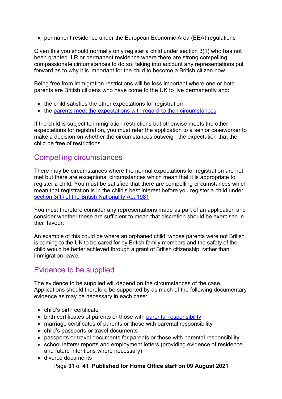• permanent residence under the European Economic Area (EEA) regulations

Given this you should normally only register a child under section 3(1) who has not been granted ILR or permanent residence where there are strong compelling compassionate circumstances to do so, taking into account any representations put forward as to why it is important for the child to become a British citizen now.

Being free from immigration restrictions will be less important where one or both parents are British citizens who have come to the UK to live permanently and:

- the child satisfies the other expectations for registration
- the [parents meet the expectations with regard to their circumstances](#page-28-0)

If the child is subject to immigration restrictions but otherwise meets the other expectations for registration, you must refer the application to a senior caseworker to make a decision on whether the circumstances outweigh the expectation that the child be free of restrictions.

### <span id="page-30-0"></span>Compelling circumstances

There may be circumstances where the normal expectations for registration are not met but there are exceptional circumstances which mean that it is appropriate to register a child. You must be satisfied that there are compelling circumstances which mean that registration is in the child's best interest before you register a child under [section 3\(1\) of the British Nationality Act 1981.](http://www.legislation.gov.uk/ukpga/1981/61/section/3)

You must therefore consider any representations made as part of an application and consider whether these are sufficient to mean that discretion should be exercised in their favour.

An example of this could be where an orphaned child, whose parents were not British is coming to the UK to be cared for by British family members and the safety of the child would be better achieved through a grant of British citizenship, rather than immigration leave.

# <span id="page-30-1"></span>Evidence to be supplied

The evidence to be supplied will depend on the circumstances of the case. Applications should therefore be supported by as much of the following documentary evidence as may be necessary in each case:

- child's birth certificate
- birth certificates of parents or those with [parental responsibility](#page-33-0)
- marriage certificates of parents or those with parental responsibility
- child's passports or travel documents
- passports or travel documents for parents or those with parental responsibility
- school letters/ reports and employment letters (providing evidence of residence and future intentions where necessary)
- divorce documents

Page **31** of **41 Published for Home Office staff on 09 August 2021**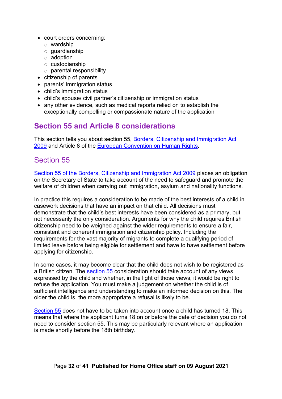- court orders concerning:
	- o wardship
	- o guardianship
	- o adoption
	- o custodianship
	- o parental responsibility
- citizenship of parents
- parents' immigration status
- child's immigration status
- child's spouse/ civil partner's citizenship or immigration status
- any other evidence, such as medical reports relied on to establish the exceptionally compelling or compassionate nature of the application

# <span id="page-31-0"></span>**Section 55 and Article 8 considerations**

This section tells you about section 55, [Borders, Citizenship and Immigration Act](http://www.legislation.gov.uk/ukpga/2009/11/contents)  [2009](http://www.legislation.gov.uk/ukpga/2009/11/contents) and Article 8 of the [European Convention on Human Rights.](http://www.echr.coe.int/Documents/Convention_ENG.pdf)

# <span id="page-31-1"></span>Section 55

[Section 55 of the Borders, Citizenship and Immigration Act 2009](http://www.legislation.gov.uk/ukpga/2009/11/section/55) places an obligation on the Secretary of State to take account of the need to safeguard and promote the welfare of children when carrying out immigration, asylum and nationality functions.

In practice this requires a consideration to be made of the best interests of a child in casework decisions that have an impact on that child. All decisions must demonstrate that the child's best interests have been considered as a primary, but not necessarily the only consideration. Arguments for why the child requires British citizenship need to be weighed against the wider requirements to ensure a fair, consistent and coherent immigration and citizenship policy. Including the requirements for the vast majority of migrants to complete a qualifying period of limited leave before being eligible for settlement and have to have settlement before applying for citizenship.

In some cases, it may become clear that the child does not wish to be registered as a British citizen. The [section 55](http://www.legislation.gov.uk/ukpga/2009/11/section/55) consideration should take account of any views expressed by the child and whether, in the light of those views, it would be right to refuse the application. You must make a judgement on whether the child is of sufficient intelligence and understanding to make an informed decision on this. The older the child is, the more appropriate a refusal is likely to be.

[Section 55](http://www.legislation.gov.uk/ukpga/2009/11/section/55) does not have to be taken into account once a child has turned 18. This means that where the applicant turns 18 on or before the date of decision you do not need to consider section 55. This may be particularly relevant where an application is made shortly before the 18th birthday.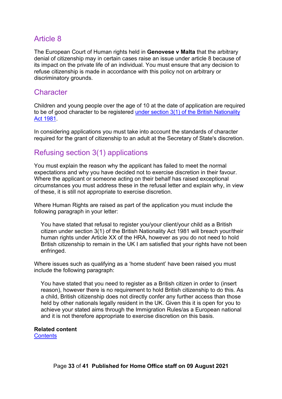#### <span id="page-32-0"></span>Article 8

The European Court of Human rights held in **Genovese v Malta** that the arbitrary denial of citizenship may in certain cases raise an issue under article 8 because of its impact on the private life of an individual. You must ensure that any decision to refuse citizenship is made in accordance with this policy not on arbitrary or discriminatory grounds.

#### <span id="page-32-1"></span>**Character**

Children and young people over the age of 10 at the date of application are required to be of good character to be registered [under section 3\(1\) of the British Nationality](http://www.legislation.gov.uk/ukpga/1981/61/section/3)  [Act 1981.](http://www.legislation.gov.uk/ukpga/1981/61/section/3)

In considering applications you must take into account the standards of character required for the grant of citizenship to an adult at the Secretary of State's discretion.

# <span id="page-32-2"></span>Refusing section 3(1) applications

You must explain the reason why the applicant has failed to meet the normal expectations and why you have decided not to exercise discretion in their favour. Where the applicant or someone acting on their behalf has raised exceptional circumstances you must address these in the refusal letter and explain why, in view of these, it is still not appropriate to exercise discretion.

Where Human Rights are raised as part of the application you must include the following paragraph in your letter:

You have stated that refusal to register you/your client/your child as a British citizen under section 3(1) of the British Nationality Act 1981 will breach your/their human rights under Article XX of the HRA, however as you do not need to hold British citizenship to remain in the UK I am satisfied that your rights have not been enfringed.

Where issues such as qualifying as a 'home student' have been raised you must include the following paragraph:

You have stated that you need to register as a British citizen in order to (insert reason), however there is no requirement to hold British citizenship to do this. As a child, British citizenship does not directly confer any further access than those held by other nationals legally resident in the UK. Given this it is open for you to achieve your stated aims through the Immigration Rules/as a European national and it is not therefore appropriate to exercise discretion on this basis.

#### **Related content [Contents](#page-1-0)**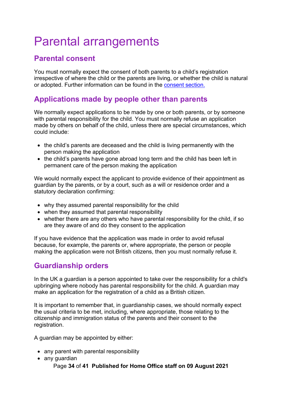# <span id="page-33-0"></span>Parental arrangements

# <span id="page-33-1"></span>**Parental consent**

You must normally expect the consent of both parents to a child's registration irrespective of where the child or the parents are living, or whether the child is natural or adopted. Further information can be found in the [consent section.](#page-33-0)

# <span id="page-33-2"></span>**Applications made by people other than parents**

We normally expect applications to be made by one or both parents, or by someone with parental responsibility for the child. You must normally refuse an application made by others on behalf of the child, unless there are special circumstances, which could include:

- the child's parents are deceased and the child is living permanently with the person making the application
- the child's parents have gone abroad long term and the child has been left in permanent care of the person making the application

We would normally expect the applicant to provide evidence of their appointment as guardian by the parents, or by a court, such as a will or residence order and a statutory declaration confirming:

- why they assumed parental responsibility for the child
- when they assumed that parental responsibility
- whether there are any others who have parental responsibility for the child, if so are they aware of and do they consent to the application

If you have evidence that the application was made in order to avoid refusal because, for example, the parents or, where appropriate, the person or people making the application were not British citizens, then you must normally refuse it.

# <span id="page-33-3"></span>**Guardianship orders**

In the UK a guardian is a person appointed to take over the responsibility for a child's upbringing where nobody has parental responsibility for the child. A guardian may make an application for the registration of a child as a British citizen.

It is important to remember that, in guardianship cases, we should normally expect the usual criteria to be met, including, where appropriate, those relating to the citizenship and immigration status of the parents and their consent to the registration.

A guardian may be appointed by either:

- any parent with parental responsibility
- Page **34** of **41 Published for Home Office staff on 09 August 2021** • any guardian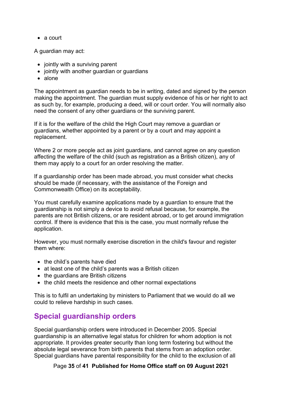• a court

A guardian may act:

- jointly with a surviving parent
- jointly with another quardian or quardians
- alone

The appointment as guardian needs to be in writing, dated and signed by the person making the appointment. The guardian must supply evidence of his or her right to act as such by, for example, producing a deed, will or court order. You will normally also need the consent of any other guardians or the surviving parent.

If it is for the welfare of the child the High Court may remove a guardian or guardians, whether appointed by a parent or by a court and may appoint a replacement.

Where 2 or more people act as joint guardians, and cannot agree on any question affecting the welfare of the child (such as registration as a British citizen), any of them may apply to a court for an order resolving the matter.

If a guardianship order has been made abroad, you must consider what checks should be made (if necessary, with the assistance of the Foreign and Commonwealth Office) on its acceptability.

You must carefully examine applications made by a guardian to ensure that the guardianship is not simply a device to avoid refusal because, for example, the parents are not British citizens, or are resident abroad, or to get around immigration control. If there is evidence that this is the case, you must normally refuse the application.

However, you must normally exercise discretion in the child's favour and register them where:

- the child's parents have died
- at least one of the child's parents was a British citizen
- the guardians are British citizens
- the child meets the residence and other normal expectations

This is to fulfil an undertaking by ministers to Parliament that we would do all we could to relieve hardship in such cases.

# <span id="page-34-0"></span>**Special guardianship orders**

Special guardianship orders were introduced in December 2005. Special guardianship is an alternative legal status for children for whom adoption is not appropriate. It provides greater security than long term fostering but without the absolute legal severance from birth parents that stems from an adoption order. Special guardians have parental responsibility for the child to the exclusion of all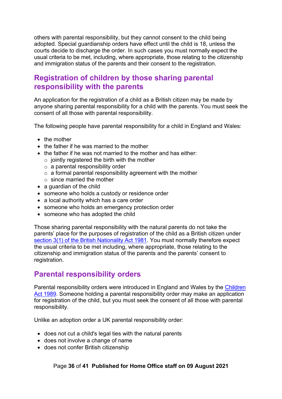others with parental responsibility, but they cannot consent to the child being adopted. Special guardianship orders have effect until the child is 18, unless the courts decide to discharge the order. In such cases you must normally expect the usual criteria to be met, including, where appropriate, those relating to the citizenship and immigration status of the parents and their consent to the registration.

# <span id="page-35-0"></span>**Registration of children by those sharing parental responsibility with the parents**

An application for the registration of a child as a British citizen may be made by anyone sharing parental responsibility for a child with the parents. You must seek the consent of all those with parental responsibility.

The following people have parental responsibility for a child in England and Wales:

- the mother
- the father if he was married to the mother
- the father if he was not married to the mother and has either:
	- $\circ$  jointly registered the birth with the mother
	- $\circ$  a parental responsibility order
	- $\circ$  a formal parental responsibility agreement with the mother
	- $\circ$  since married the mother
- a guardian of the child
- someone who holds a custody or residence order
- a local authority which has a care order
- someone who holds an emergency protection order
- someone who has adopted the child

Those sharing parental responsibility with the natural parents do not take the parents' place for the purposes of registration of the child as a British citizen under [section 3\(1\) of the British Nationality Act 1981.](http://www.legislation.gov.uk/ukpga/1981/61/section/3) You must normally therefore expect the usual criteria to be met including, where appropriate, those relating to the citizenship and immigration status of the parents and the parents' consent to registration.

### <span id="page-35-1"></span>**Parental responsibility orders**

Parental responsibility orders were introduced in England and Wales by the [Children](http://www.legislation.gov.uk/ukpga/1989/41/contents)  [Act 1989.](http://www.legislation.gov.uk/ukpga/1989/41/contents) Someone holding a parental responsibility order may make an application for registration of the child, but you must seek the consent of all those with parental responsibility.

Unlike an adoption order a UK parental responsibility order:

- does not cut a child's legal ties with the natural parents
- does not involve a change of name
- does not confer British citizenship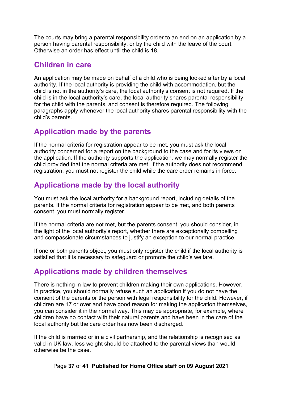The courts may bring a parental responsibility order to an end on an application by a person having parental responsibility, or by the child with the leave of the court. Otherwise an order has effect until the child is 18.

### <span id="page-36-0"></span>**Children in care**

An application may be made on behalf of a child who is being looked after by a local authority. If the local authority is providing the child with accommodation, but the child is not in the authority's care, the local authority's consent is not required. If the child is in the local authority's care, the local authority shares parental responsibility for the child with the parents, and consent is therefore required. The following paragraphs apply whenever the local authority shares parental responsibility with the child's parents.

## <span id="page-36-1"></span>**Application made by the parents**

If the normal criteria for registration appear to be met, you must ask the local authority concerned for a report on the background to the case and for its views on the application. If the authority supports the application, we may normally register the child provided that the normal criteria are met. If the authority does not recommend registration, you must not register the child while the care order remains in force.

# <span id="page-36-2"></span>**Applications made by the local authority**

You must ask the local authority for a background report, including details of the parents. If the normal criteria for registration appear to be met, and both parents consent, you must normally register.

If the normal criteria are not met, but the parents consent, you should consider, in the light of the local authority's report, whether there are exceptionally compelling and compassionate circumstances to justify an exception to our normal practice.

If one or both parents object, you must only register the child if the local authority is satisfied that it is necessary to safeguard or promote the child's welfare.

# <span id="page-36-3"></span>**Applications made by children themselves**

There is nothing in law to prevent children making their own applications. However, in practice, you should normally refuse such an application if you do not have the consent of the parents or the person with legal responsibility for the child. However, if children are 17 or over and have good reason for making the application themselves, you can consider it in the normal way. This may be appropriate, for example, where children have no contact with their natural parents and have been in the care of the local authority but the care order has now been discharged.

If the child is married or in a civil partnership, and the relationship is recognised as valid in UK law, less weight should be attached to the parental views than would otherwise be the case.

Page **37** of **41 Published for Home Office staff on 09 August 2021**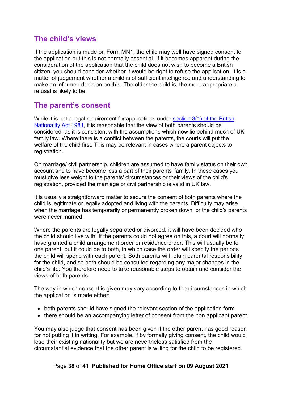## <span id="page-37-0"></span>**The child's views**

If the application is made on Form MN1, the child may well have signed consent to the application but this is not normally essential. If it becomes apparent during the consideration of the application that the child does not wish to become a British citizen, you should consider whether it would be right to refuse the application. It is a matter of judgement whether a child is of sufficient intelligence and understanding to make an informed decision on this. The older the child is, the more appropriate a refusal is likely to be.

# <span id="page-37-1"></span>**The parent's consent**

While it is not a legal requirement for applications under section 3(1) of the British [Nationality Act 1981,](http://www.legislation.gov.uk/ukpga/1981/61/section/3) it is reasonable that the view of both parents should be considered, as it is consistent with the assumptions which now lie behind much of UK family law. Where there is a conflict between the parents, the courts will put the welfare of the child first. This may be relevant in cases where a parent objects to registration.

On marriage/ civil partnership, children are assumed to have family status on their own account and to have become less a part of their parents' family. In these cases you must give less weight to the parents' circumstances or their views of the child's registration, provided the marriage or civil partnership is valid in UK law.

It is usually a straightforward matter to secure the consent of both parents where the child is legitimate or legally adopted and living with the parents. Difficulty may arise when the marriage has temporarily or permanently broken down, or the child's parents were never married.

Where the parents are legally separated or divorced, it will have been decided who the child should live with. If the parents could not agree on this, a court will normally have granted a child arrangement order or residence order. This will usually be to one parent, but it could be to both, in which case the order will specify the periods the child will spend with each parent. Both parents will retain parental responsibility for the child, and so both should be consulted regarding any major changes in the child's life. You therefore need to take reasonable steps to obtain and consider the views of both parents.

The way in which consent is given may vary according to the circumstances in which the application is made either:

- both parents should have signed the relevant section of the application form
- there should be an accompanying letter of consent from the non applicant parent

You may also judge that consent has been given if the other parent has good reason for not putting it in writing. For example, if by formally giving consent, the child would lose their existing nationality but we are nevertheless satisfied from the circumstantial evidence that the other parent is willing for the child to be registered.

#### Page **38** of **41 Published for Home Office staff on 09 August 2021**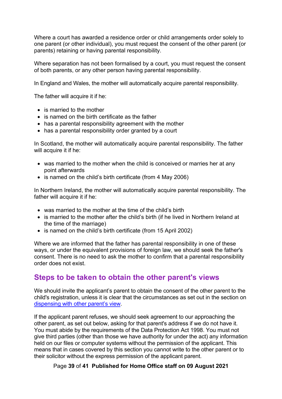Where a court has awarded a residence order or child arrangements order solely to one parent (or other individual), you must request the consent of the other parent (or parents) retaining or having parental responsibility.

Where separation has not been formalised by a court, you must request the consent of both parents, or any other person having parental responsibility.

In England and Wales, the mother will automatically acquire parental responsibility.

The father will acquire it if he:

- is married to the mother
- is named on the birth certificate as the father
- has a parental responsibility agreement with the mother
- has a parental responsibility order granted by a court

In Scotland, the mother will automatically acquire parental responsibility. The father will acquire it if he:

- was married to the mother when the child is conceived or marries her at any point afterwards
- is named on the child's birth certificate (from 4 May 2006)

In Northern Ireland, the mother will automatically acquire parental responsibility. The father will acquire it if he:

- was married to the mother at the time of the child's birth
- is married to the mother after the child's birth (if he lived in Northern Ireland at the time of the marriage)
- is named on the child's birth certificate (from 15 April 2002)

Where we are informed that the father has parental responsibility in one of these ways, or under the equivalent provisions of foreign law, we should seek the father's consent. There is no need to ask the mother to confirm that a parental responsibility order does not exist.

#### <span id="page-38-0"></span>**Steps to be taken to obtain the other parent's views**

We should invite the applicant's parent to obtain the consent of the other parent to the child's registration, unless it is clear that the circumstances as set out in the section on [dispensing with other parent's view.](#page-39-0)

If the applicant parent refuses, we should seek agreement to our approaching the other parent, as set out below, asking for that parent's address if we do not have it. You must abide by the requirements of the Data Protection Act 1998. You must not give third parties (other than those we have authority for under the act) any information held on our files or computer systems without the permission of the applicant. This means that in cases covered by this section you cannot write to the other parent or to their solicitor without the express permission of the applicant parent.

#### Page **39** of **41 Published for Home Office staff on 09 August 2021**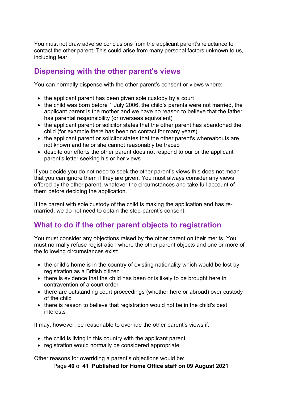You must not draw adverse conclusions from the applicant parent's reluctance to contact the other parent. This could arise from many personal factors unknown to us, including fear.

# <span id="page-39-0"></span>**Dispensing with the other parent's views**

You can normally dispense with the other parent's consent or views where:

- the applicant parent has been given sole custody by a court
- the child was born before 1 July 2006, the child's parents were not married, the applicant parent is the mother and we have no reason to believe that the father has parental responsibility (or overseas equivalent)
- the applicant parent or solicitor states that the other parent has abandoned the child (for example there has been no contact for many years)
- the applicant parent or solicitor states that the other parent's whereabouts are not known and he or she cannot reasonably be traced
- despite our efforts the other parent does not respond to our or the applicant parent's letter seeking his or her views

If you decide you do not need to seek the other parent's views this does not mean that you can ignore them if they are given. You must always consider any views offered by the other parent, whatever the circumstances and take full account of them before deciding the application.

If the parent with sole custody of the child is making the application and has remarried, we do not need to obtain the step-parent's consent.

# <span id="page-39-1"></span>**What to do if the other parent objects to registration**

You must consider any objections raised by the other parent on their merits. You must normally refuse registration where the other parent objects and one or more of the following circumstances exist:

- the child's home is in the country of existing nationality which would be lost by registration as a British citizen
- there is evidence that the child has been or is likely to be brought here in contravention of a court order
- there are outstanding court proceedings (whether here or abroad) over custody of the child
- there is reason to believe that registration would not be in the child's best interests

It may, however, be reasonable to override the other parent's views if:

- the child is living in this country with the applicant parent
- registration would normally be considered appropriate

Other reasons for overriding a parent's objections would be:

Page **40** of **41 Published for Home Office staff on 09 August 2021**